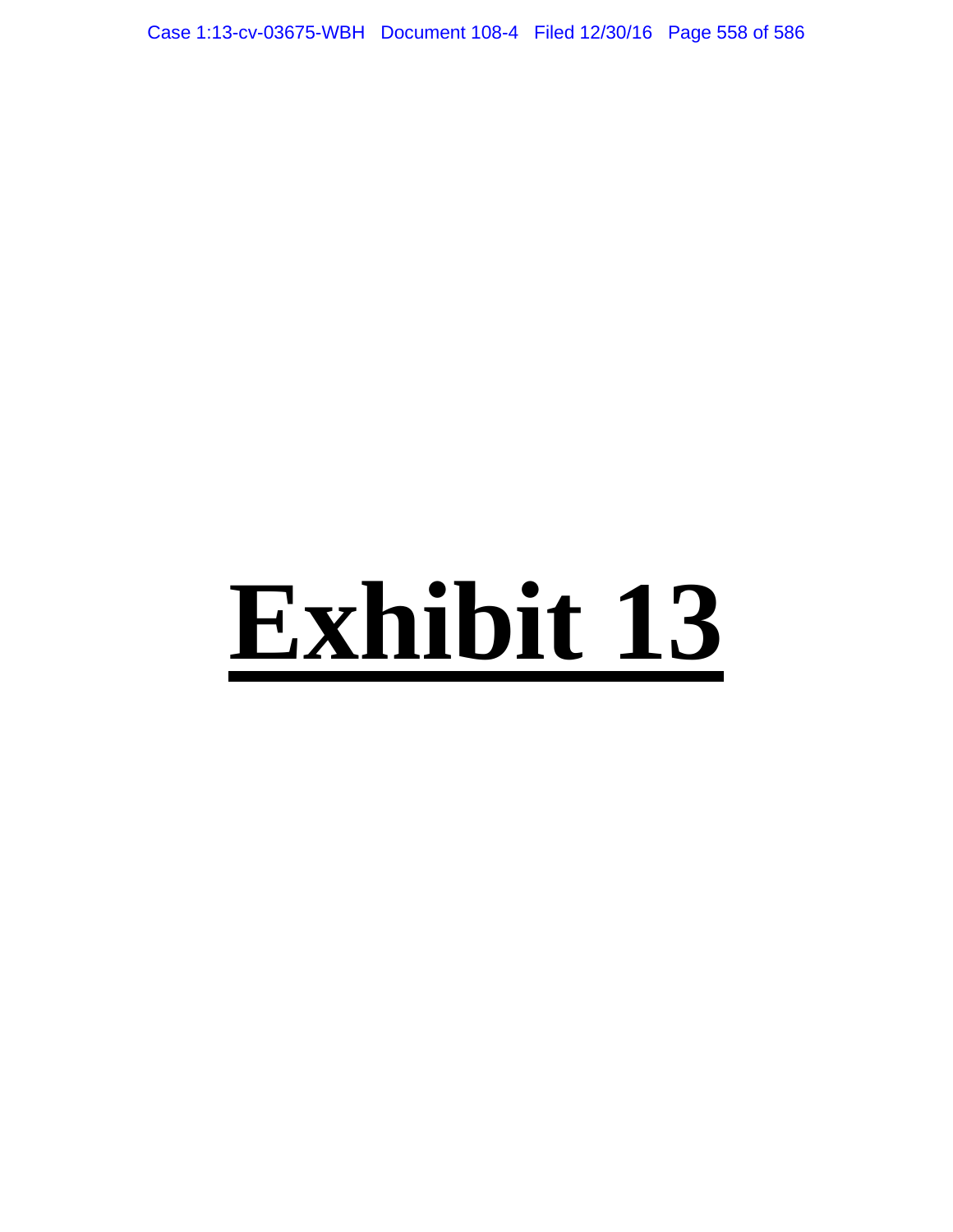Case 1:13-cv-03675-WBH Document 108-4 Filed 12/30/16 Page 558 of 586

# **Exhibit 13**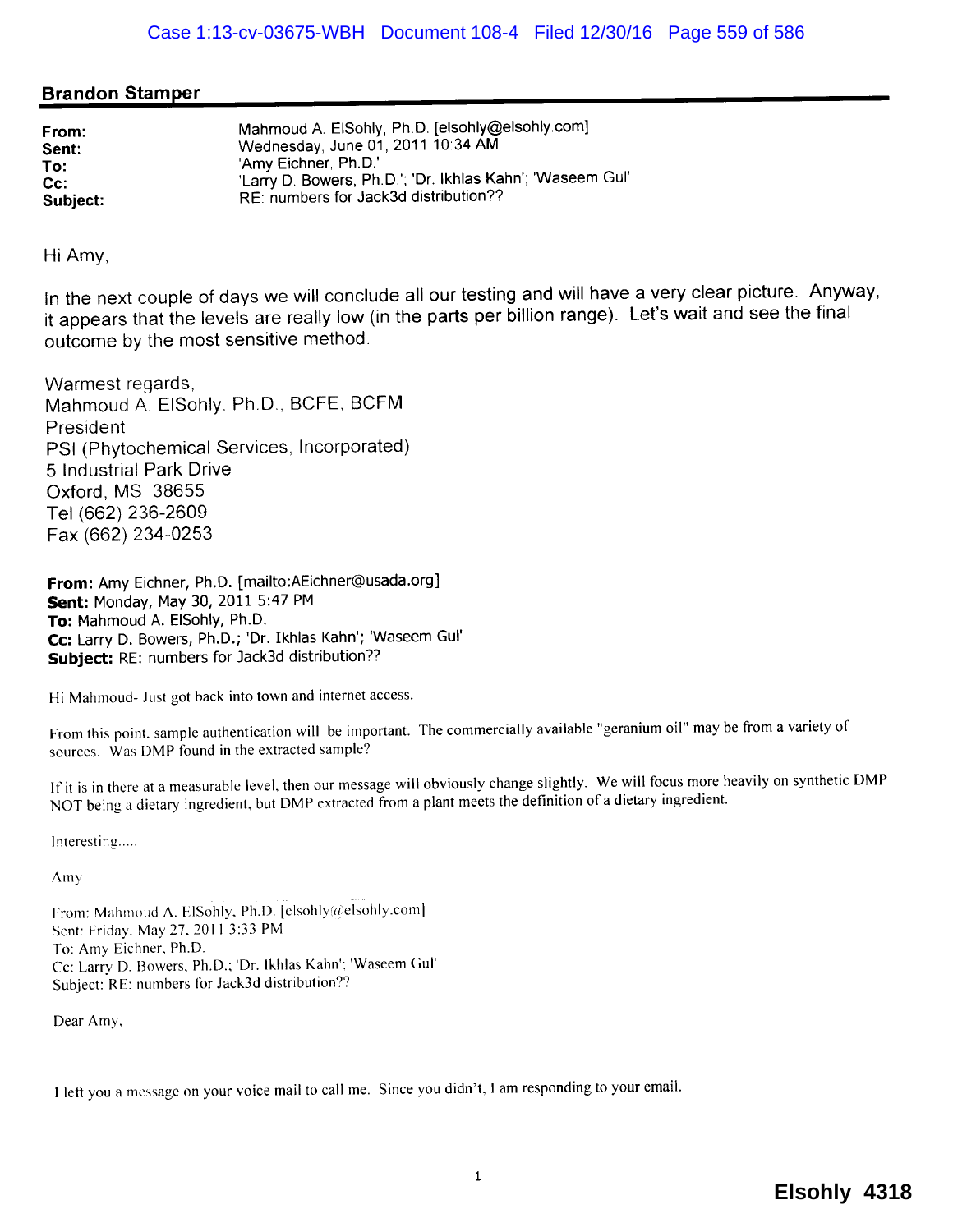# Brandon Stamper

| Mahmoud A. ElSohly, Ph.D. [elsohly@elsohly.com]<br>Wednesday, June 01, 2011 10:34 AM<br>'Amy Eichner, Ph.D.'<br>'Larry D. Bowers, Ph.D.'; 'Dr. Ikhlas Kahn'; 'Waseem Gul'<br>RE: numbers for Jack3d distribution?? |
|--------------------------------------------------------------------------------------------------------------------------------------------------------------------------------------------------------------------|
|                                                                                                                                                                                                                    |

Hi Amy,

In the next couple of days we will conclude all our testing and will have a very clear picture. Anyway, it appears that the levels are really low (in the parts per billion range). Let's wait and see the final outcome by the most sensitive method.

Warmest regards, Mahmoud A. EISohly, Ph.D., BCFE, BCFM President PSI (Phytochemical Services, Incorporated) 5 Industrial Park Drive Oxford, MS 38655 Tel (662) 236-2609 Fax (662) 234-0253

From: Amy Eichner, Ph.D. [mailto:AEichner@usada.org] Sent: Monday, May 30, 2011 5:47 PM To: Mahmoud A. EISohly, Ph.D. Cc: Larry D. Bowers, Ph.D.; 'Dr. Ikhlas Kahn'; 'Waseem Gul' Subject: RE: numbers for Jack3d distribution??

Hi Mahmoud- Just got back into town and internet access.

From this point. sample authentication will be important. The commercially available "geranium oil" may be from a variety of sources. Was DMP found in the extracted sample?

If it is in there at a measurable level, then our message will obviously change slightly. We will focus more heavily on synthetic DMP NOT being a dietary ingredient, but DMP extracted from a plant meets the definition of a dietary ingredient.

Interesting.....

Amy

From: Mahmoud A. ElSohly, Ph.D. [elsohly(a)elsohly.com] Sent: Friday. May 27, 2011 3:33 PM To: Amy Eichner, Ph.D. ec: Larry D. Bowers. Ph.D.; 'Dr. Ikhlas Kahn'; 'Waseem Gul' Subject: RE: numbers for Jack3d distribution??

Dear Amy.

I left you a message on your voice mail to call me. Since you didn't, I am responding to your emaiL.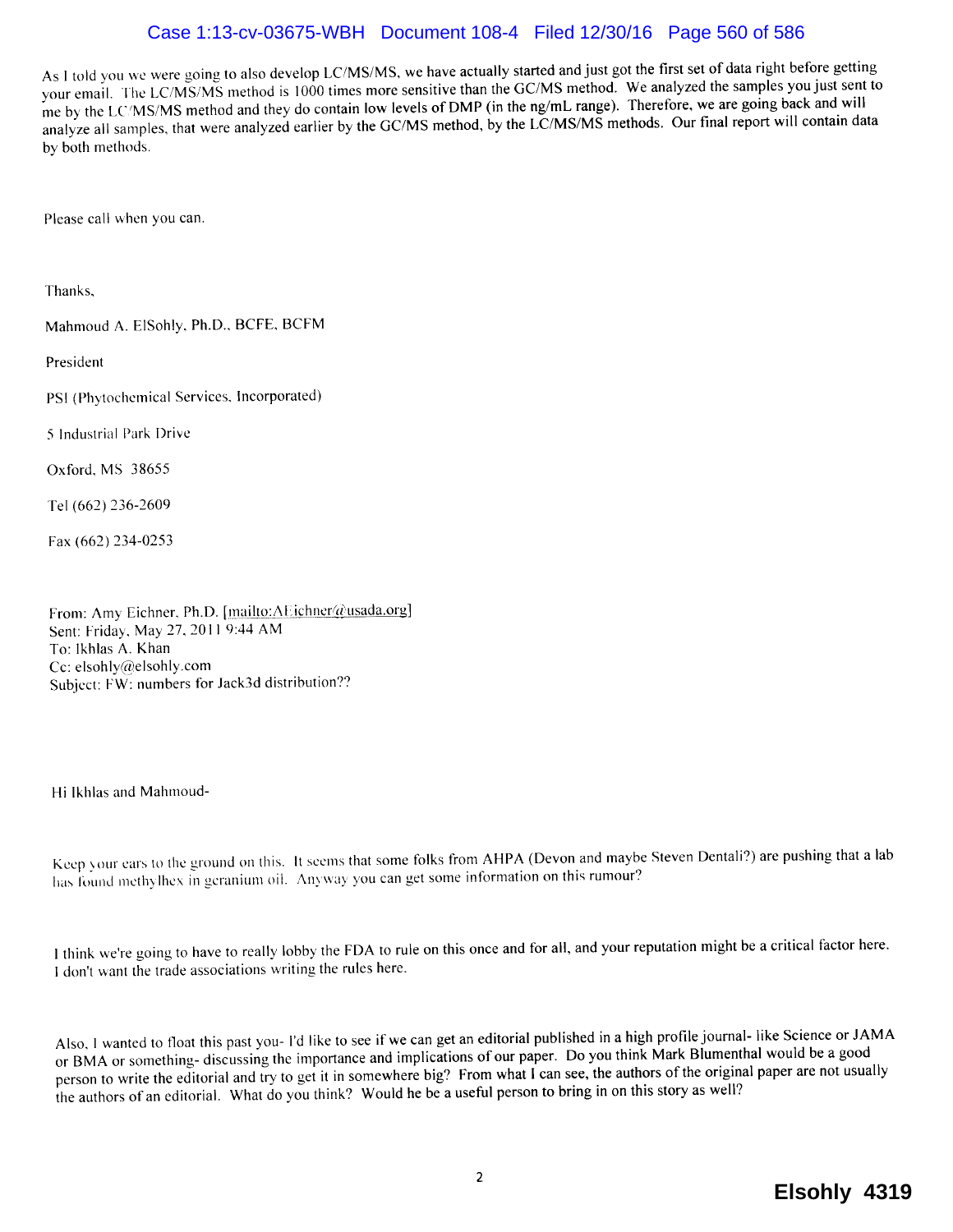# Case 1:13-cv-03675-WBH Document 108-4 Filed 12/30/16 Page 560 of 586

As I told you we were going to also develop LC/MS/MS, we have actually started and just got the first set of data right before getting your emaiL. The LC/MS/MS method is 1000 times more sensitive than the GC/MS method. We analyzed the samples you just sent to me by the LC/MS/MS method and they do contain low levels of DMP (in the ng/mL range). Therefore, we are going back and will analyze all samples, that were analyzed earlier by the GC/MS method, by the LC/MS/MS methods. Our final report will contain data by both methods.

Please call when you can.

Thanks,

Mahmoud A. ElSohly, Ph.D., BCFE, BCFM

President

PSI (Phytochemical Services, Incorporated)

5 Industrial Park Drive

Oxford. MS 38655

Tel (662) 236-2609

Fax (662) 234-0253

From: Amy Eichner, Ph.D. [mailto:AEichner@usada.org] Sent: Friday, May 27, 2011 9:44 AM To: lkhlas A. Khan Cc: elsohly@elsohly.com Subject: FW: numbers for Jack3d distribution??

Hi Ikhlas and Mahmoud-

Keep your ears to the ground on this. It seems that some folks from AHPA (Devon and maybe Steven Dentali?) are pushing that a lab has found methylhex in gcranium oil. Anyway you can get some information on this rumour?

i think we're going to have to really lobby the FDA to rule on this once and for all, and your reputation might be a critical factor here. I don't want the trade associations writing the rules here.

Also, i wanted to float this past you- I'd like to see if we can get an editorial published in a high profie joumal- like Science or JAMA or BMA or something- discussing the importance and implications of our paper. Do you think Mark Blumenthal would be a good person to write the editorial and try to get it in somewhere big? From what I can see, the authors of the original paper are not usually the authors of an editorial. What do you think? Would he be a useful person to bring in on this story as well?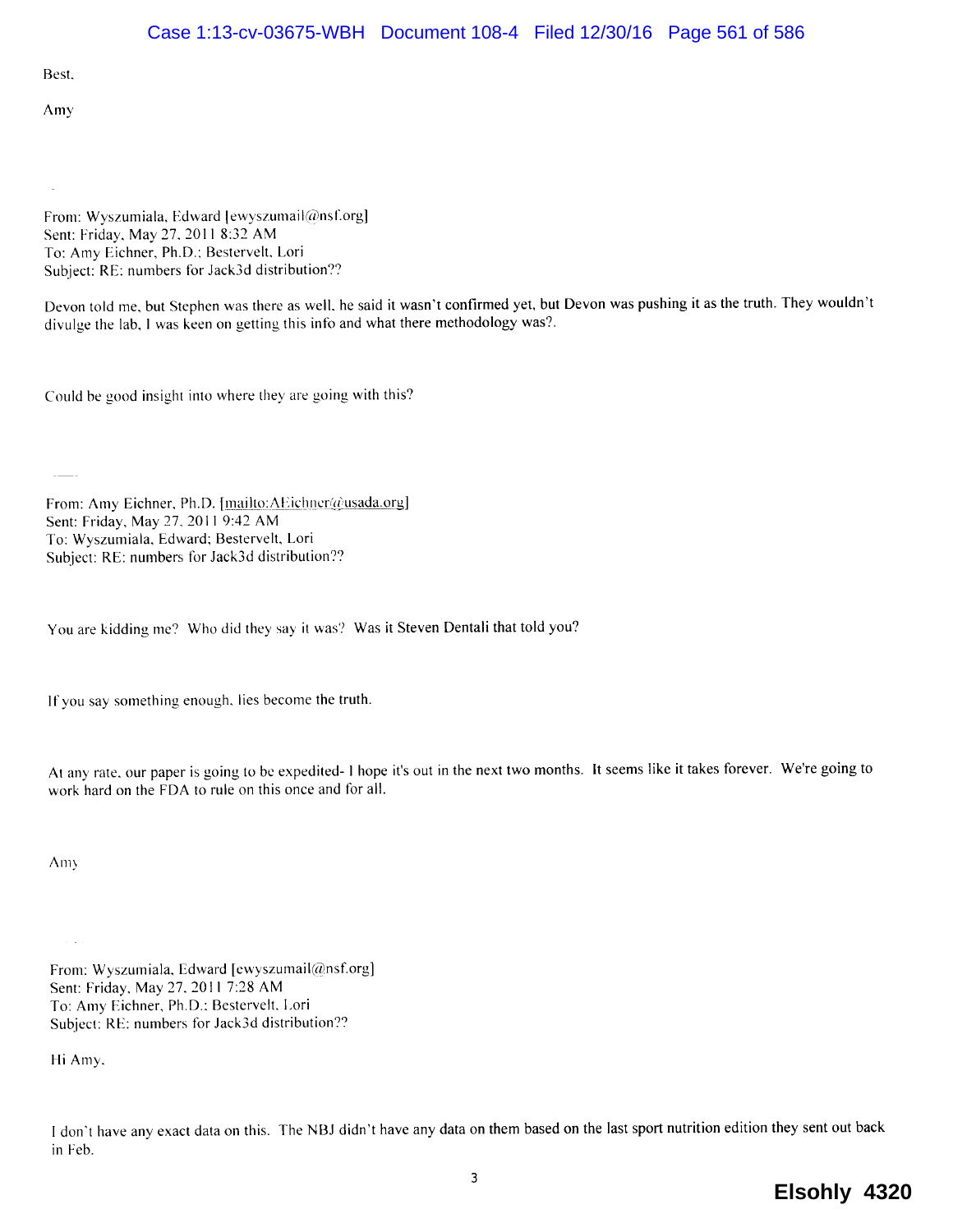Best.

Amy

From: Wyszumiala, Edward [ewyszumail@nsf.org] Sent: Friday, May 27, 2011 8:32 AM To: Amy Eichner, Ph.D.; Bestervelt, Lori Subject: RE: numbers for Jack3d distribution??

Devon told me, but Stephen was there as well, he said it wasn't confirmed yet, but Devon was pushing it as the truth. They wouldn't divulge the lab, I was keen on getting this info and what there methodology was?.

Could be good insight into where they are going with this?

From: Amy Eichner, Ph.D. [mailto:AEichner@usada.org] Sent: Friday, May 27, 2011 9:42 AM To: Wyszumiala. Edward; Bestervelt, Lori Subject: RE: numbers for Jack3d distribution??

You are kidding me? Who did they say it was? Was it Steven Dentali that told you?

If you say something enough, lies become the truth.

At any rate, our paper is going to bc expedited- i hope it's out in the next two months. It seems like it takes forever. We're going to work hard on the FDA to rule on this once and for alL.

Am)

From: Wyszumiala, Edward [ewyszumail@nsf.org] Sent: Friday, May 27, 2011 7:28 AM To: Amy Eichner, Ph.D.; Bestervelt. Lori Subject: RE: numbers for Jack3d distribution??

Hi Amy.

I don't have any exact data on this. The NBJ didn't have any data on them based on the last sport nutrition edition they sent out back in Feb.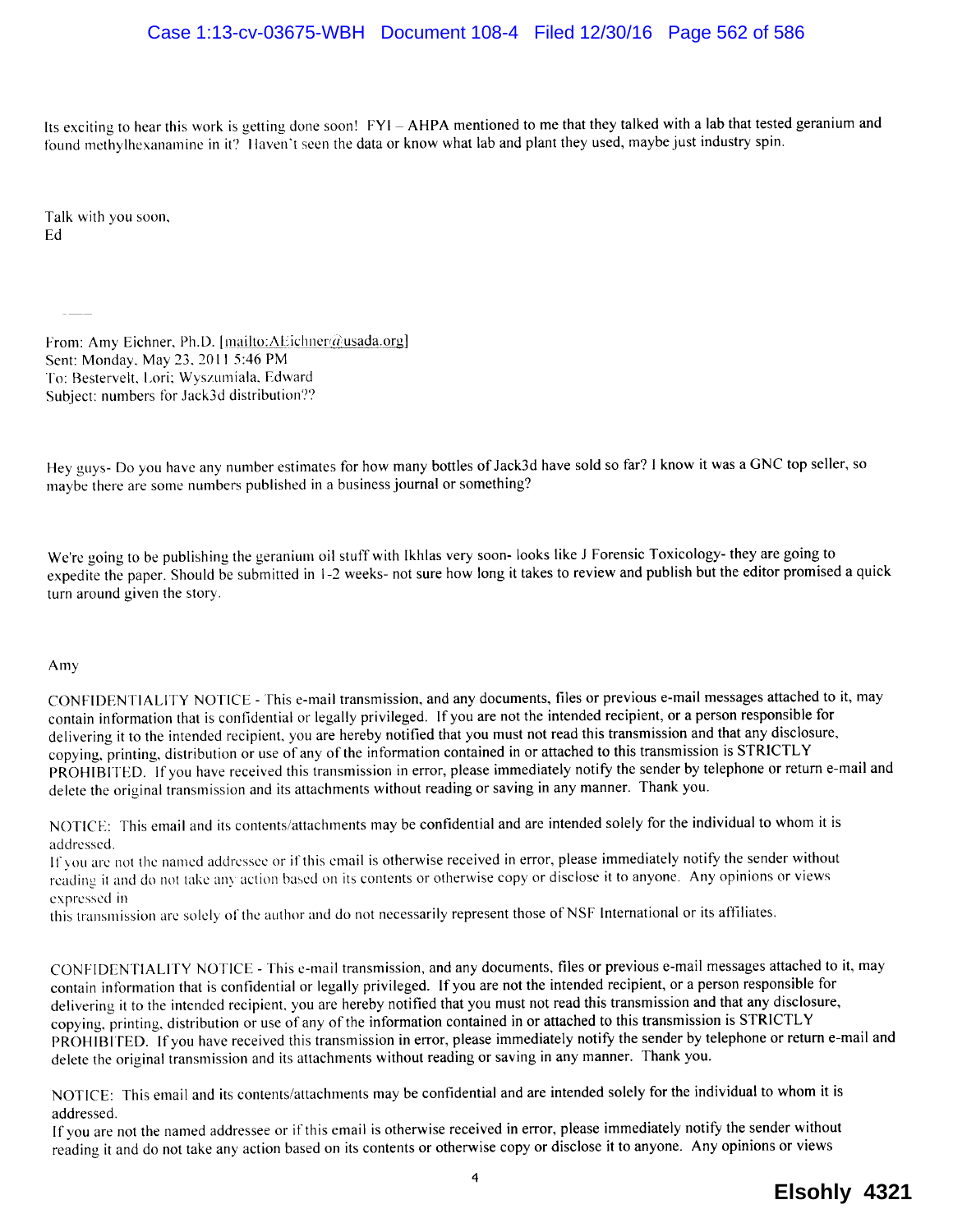Its exciting to hear this work is getting done soon! FYI - AHPA mentioned to me that they talked with a lab that tested geranium and found methylhexanamine in it? Haven't seen the data or know what lab and plant they used, maybe just industry spin.

Talk with you soon, Ed

From: Amy Eichner, Ph.D. [mailto:AEichner@usada.org] Sent: Monday, May 23, 2011 5:46 PM To: Bestervelt, Lori; Wyszumiala, Edward Subject: numbers for Jack3d distribution??

Hey guys- Do you have any number estimates for how many bottles of Jack3d have sold so far? I know it was a GNC top seller, so maybe there are some numbers published in a business journal or something?

We're going to be publishing the geranium oil stuff with Ikhlas very soon- looks like J Forensic Toxicology- they are going to expedite the paper. Should be submitted in 1-2 weeks- not sure how long it takes to review and publish but the editor promised a quick turn around given the story.

### Amy

CONFIDENTIALITY NOTICE - This e-mail transmission, and any documents, fies or previous e-mail messages attached to it, may contain information that is confidential or legally privileged. If you are not the intended recipient, or a person responsible for delivering it to the intended recipient, you are hereby notified that you must not read this transmission and that any disclosure, copying. printing. distribution or use of any of the information contained in or attached to this transmission is STRICTLY PROHIBITED. If you have received this transmission in error, please immediately notify the sender by telephone or return e-mail and delete the original transmission and its attachments without reading or saving in any manner. Thank you.

NOTICE: This email and its contents/attachments may be confidential and are intended solely for the individual to whom it is addressed.

If you are not the named addressee or if this email is otherwise received in error. please immediately notify the sender without reading it and do not take any action based on its contents or otherwise copy or disclose it to anyone. Any opinions or views expressed in

this transmission are solely of the author and do not necessarily represent those of NSF International or its attliates.

CONFIDENTIALITY NOTICE - This e-mail transmission, and any documents, files or previous e-mail messages attached to it, may contain information that is confidential or legally privileged. If you are not the intended recipient, or a person responsible for delivering it to the intended recipient, you are hereby notified that you must not read this transmission and that any disclosure, copying, printing. distribution or use of any of the information contained in or attached to this transmission is STRICTLY PROHIBITED. If you have received this transmission in error, please immediately notify the sender by telephone or return e-mail and delete the original transmission and its attachments without reading or saving in any manner. Thank you.

NOTICE: This email and its contents/attachments may be confidential and are intended solely for the individual to whom it is addressed.

If you are not the named addressee or if this email is otherwise received in error, please immediately notify the sender without reading it and do not take any action based on its contents or otherwise copy or disclose it to anyone. Any opinions or views